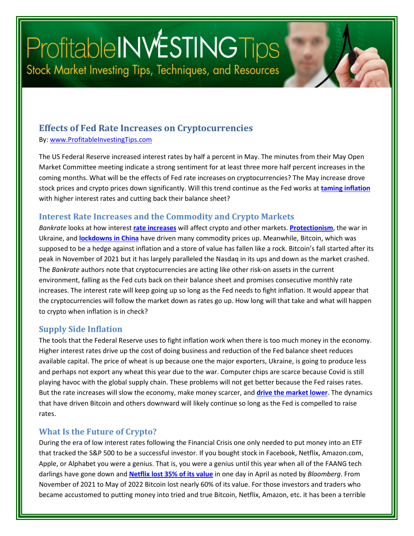# ProfitableINWESTINGTips Stock Market Investing Tips, Techniques, and Resources

### **Effects of Fed Rate Increases on Cryptocurrencies**

By: [www.ProfitableInvestingTips.com](http://www.profitableinvestingtips.com/)

The US Federal Reserve increased interest rates by half a percent in May. The minutes from their May Open Market Committee meeting indicate a strong sentiment for at least three more half percent increases in the coming months. What will be the effects of Fed rate increases on cryptocurrencies? The May increase drove stock prices and crypto prices down significantly. Will this trend continue as the Fed works at **[taming inflation](https://article.page/Vol357)** with higher interest rates and cutting back their balance sheet?

#### **Interest Rate Increases and the Commodity and Crypto Markets**

*Bankrate* looks at how interest **[rate increases](https://www.bankrate.com/investing/federal-reserve-impact-on-stocks-crypto-other-investments/)** will affect crypto and other markets. **[Protectionism](https://article.page/V0l431)**, the war in Ukraine, and **[lockdowns in China](https://article.page/Vol451)** have driven many commodity prices up. Meanwhile, Bitcoin, which was supposed to be a hedge against inflation and a store of value has fallen like a rock. Bitcoin's fall started after its peak in November of 2021 but it has largely paralleled the Nasdaq in its ups and down as the market crashed. The *Bankrate* authors note that cryptocurrencies are acting like other risk-on assets in the current environment, falling as the Fed cuts back on their balance sheet and promises consecutive monthly rate increases. The interest rate will keep going up so long as the Fed needs to fight inflation. It would appear that the cryptocurrencies will follow the market down as rates go up. How long will that take and what will happen to crypto when inflation is in check?

#### **Supply Side Inflation**

The tools that the Federal Reserve uses to fight inflation work when there is too much money in the economy. Higher interest rates drive up the cost of doing business and reduction of the Fed balance sheet reduces available capital. The price of wheat is up because one the major exporters, Ukraine, is going to produce less and perhaps not export any wheat this year due to the war. Computer chips are scarce because Covid is still playing havoc with the global supply chain. These problems will not get better because the Fed raises rates. But the rate increases will slow the economy, make money scarcer, and **[drive the market lower](https://article.page/Vol438)**. The dynamics that have driven Bitcoin and others downward will likely continue so long as the Fed is compelled to raise rates.

#### **What Is the Future of Crypto?**

During the era of low interest rates following the Financial Crisis one only needed to put money into an ETF that tracked the S&P 500 to be a successful investor. If you bought stock in Facebook, Netflix, Amazon.com, Apple, or Alphabet you were a genius. That is, you were a genius until this year when all of the FAANG tech darlings have gone down and **[Netflix lost 35% of its value](https://www.bloomberg.com/news/articles/2022-04-19/netflix-loses-200-000-customers-its-first-decline-in-a-decade)** in one day in April as noted by *Bloomberg*. From November of 2021 to May of 2022 Bitcoin lost nearly 60% of its value. For those investors and traders who became accustomed to putting money into tried and true Bitcoin, Netflix, Amazon, etc. it has been a terrible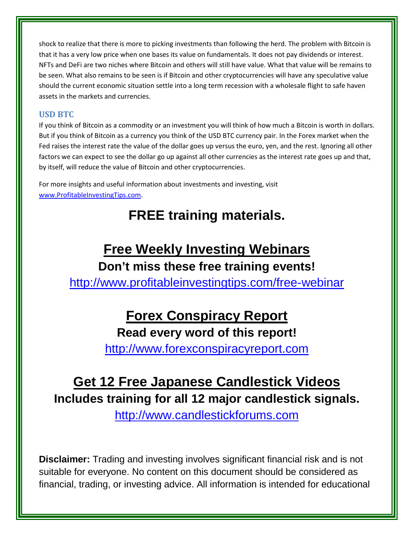shock to realize that there is more to picking investments than following the herd. The problem with Bitcoin is that it has a very low price when one bases its value on fundamentals. It does not pay dividends or interest. NFTs and DeFi are two niches where Bitcoin and others will still have value. What that value will be remains to be seen. What also remains to be seen is if Bitcoin and other cryptocurrencies will have any speculative value should the current economic situation settle into a long term recession with a wholesale flight to safe haven assets in the markets and currencies.

#### **USD BTC**

If you think of Bitcoin as a commodity or an investment you will think of how much a Bitcoin is worth in dollars. But if you think of Bitcoin as a currency you think of the USD BTC currency pair. In the Forex market when the Fed raises the interest rate the value of the dollar goes up versus the euro, yen, and the rest. Ignoring all other factors we can expect to see the dollar go up against all other currencies as the interest rate goes up and that, by itself, will reduce the value of Bitcoin and other cryptocurrencies.

For more insights and useful information about investments and investing, visit [www.ProfitableInvestingTips.com.](http://www.profitableinvestingtips.com/)

### **FREE training materials.**

### **Free Weekly Investing Webinars Don't miss these free training events!**

<http://www.profitableinvestingtips.com/free-webinar>

## **Forex Conspiracy Report**

**Read every word of this report!**

[http://www.forexconspiracyreport.com](http://www.forexconspiracyreport.com/)

## **Get 12 Free Japanese Candlestick Videos**

**Includes training for all 12 major candlestick signals.**

[http://www.candlestickforums.com](http://www.candlestickforums.com/)

**Disclaimer:** Trading and investing involves significant financial risk and is not suitable for everyone. No content on this document should be considered as financial, trading, or investing advice. All information is intended for educational